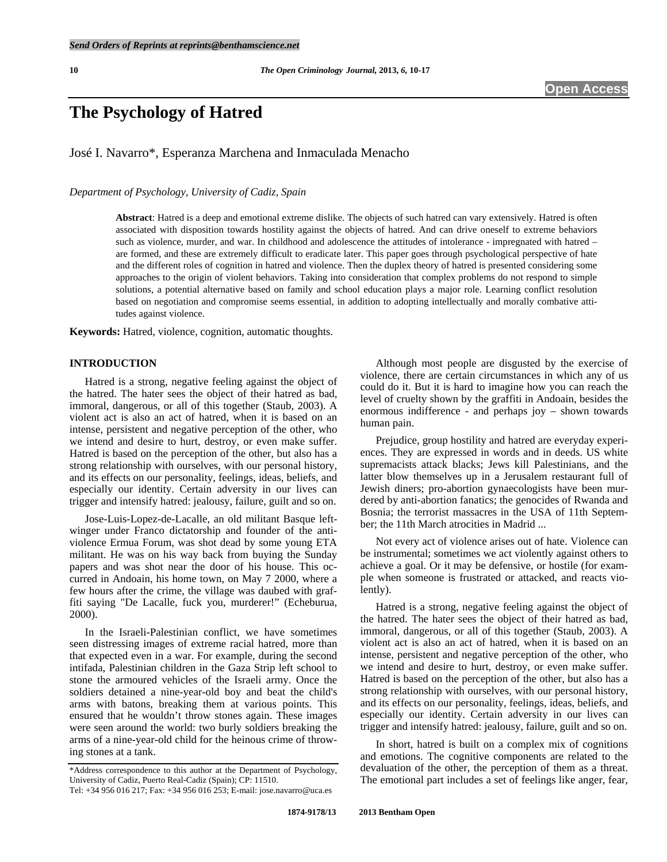# **The Psychology of Hatred**

José I. Navarro\*, Esperanza Marchena and Inmaculada Menacho

*Department of Psychology, University of Cadiz, Spain* 

**Abstract**: Hatred is a deep and emotional extreme dislike. The objects of such hatred can vary extensively. Hatred is often associated with disposition towards hostility against the objects of hatred. And can drive oneself to extreme behaviors such as violence, murder, and war. In childhood and adolescence the attitudes of intolerance - impregnated with hatred – are formed, and these are extremely difficult to eradicate later. This paper goes through psychological perspective of hate and the different roles of cognition in hatred and violence. Then the duplex theory of hatred is presented considering some approaches to the origin of violent behaviors. Taking into consideration that complex problems do not respond to simple solutions, a potential alternative based on family and school education plays a major role. Learning conflict resolution based on negotiation and compromise seems essential, in addition to adopting intellectually and morally combative attitudes against violence.

**Keywords:** Hatred, violence, cognition, automatic thoughts.

# **INTRODUCTION**

 Hatred is a strong, negative feeling against the object of the hatred. The hater sees the object of their hatred as bad, immoral, dangerous, or all of this together (Staub, 2003). A violent act is also an act of hatred, when it is based on an intense, persistent and negative perception of the other, who we intend and desire to hurt, destroy, or even make suffer. Hatred is based on the perception of the other, but also has a strong relationship with ourselves, with our personal history, and its effects on our personality, feelings, ideas, beliefs, and especially our identity. Certain adversity in our lives can trigger and intensify hatred: jealousy, failure, guilt and so on.

 Jose-Luis-Lopez-de-Lacalle, an old militant Basque leftwinger under Franco dictatorship and founder of the antiviolence Ermua Forum, was shot dead by some young ETA militant. He was on his way back from buying the Sunday papers and was shot near the door of his house. This occurred in Andoain, his home town, on May 7 2000, where a few hours after the crime, the village was daubed with graffiti saying "De Lacalle, fuck you, murderer!" (Echeburua, 2000).

 In the Israeli-Palestinian conflict, we have sometimes seen distressing images of extreme racial hatred, more than that expected even in a war. For example, during the second intifada, Palestinian children in the Gaza Strip left school to stone the armoured vehicles of the Israeli army. Once the soldiers detained a nine-year-old boy and beat the child's arms with batons, breaking them at various points. This ensured that he wouldn't throw stones again. These images were seen around the world: two burly soldiers breaking the arms of a nine-year-old child for the heinous crime of throwing stones at a tank.

 Although most people are disgusted by the exercise of violence, there are certain circumstances in which any of us could do it. But it is hard to imagine how you can reach the level of cruelty shown by the graffiti in Andoain, besides the enormous indifference - and perhaps joy – shown towards human pain.

 Prejudice, group hostility and hatred are everyday experiences. They are expressed in words and in deeds. US white supremacists attack blacks; Jews kill Palestinians, and the latter blow themselves up in a Jerusalem restaurant full of Jewish diners; pro-abortion gynaecologists have been murdered by anti-abortion fanatics; the genocides of Rwanda and Bosnia; the terrorist massacres in the USA of 11th September; the 11th March atrocities in Madrid ...

 Not every act of violence arises out of hate. Violence can be instrumental; sometimes we act violently against others to achieve a goal. Or it may be defensive, or hostile (for example when someone is frustrated or attacked, and reacts violently).

 Hatred is a strong, negative feeling against the object of the hatred. The hater sees the object of their hatred as bad, immoral, dangerous, or all of this together (Staub, 2003). A violent act is also an act of hatred, when it is based on an intense, persistent and negative perception of the other, who we intend and desire to hurt, destroy, or even make suffer. Hatred is based on the perception of the other, but also has a strong relationship with ourselves, with our personal history, and its effects on our personality, feelings, ideas, beliefs, and especially our identity. Certain adversity in our lives can trigger and intensify hatred: jealousy, failure, guilt and so on.

 In short, hatred is built on a complex mix of cognitions and emotions. The cognitive components are related to the devaluation of the other, the perception of them as a threat. The emotional part includes a set of feelings like anger, fear,

<sup>\*</sup>Address correspondence to this author at the Department of Psychology, University of Cadiz, Puerto Real-Cadiz (Spain); CP: 11510. Tel: +34 956 016 217; Fax: +34 956 016 253; E-mail: jose.navarro@uca.es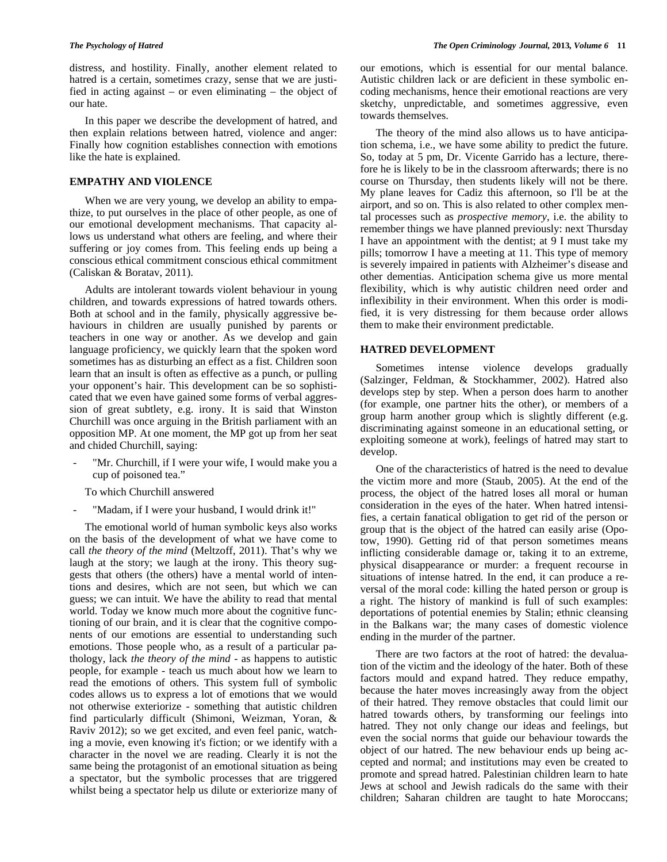distress, and hostility. Finally, another element related to hatred is a certain, sometimes crazy, sense that we are justified in acting against – or even eliminating – the object of our hate.

 In this paper we describe the development of hatred, and then explain relations between hatred, violence and anger: Finally how cognition establishes connection with emotions like the hate is explained.

# **EMPATHY AND VIOLENCE**

 When we are very young, we develop an ability to empathize, to put ourselves in the place of other people, as one of our emotional development mechanisms. That capacity allows us understand what others are feeling, and where their suffering or joy comes from. This feeling ends up being a conscious ethical commitment conscious ethical commitment (Caliskan & Boratav, 2011).

 Adults are intolerant towards violent behaviour in young children, and towards expressions of hatred towards others. Both at school and in the family, physically aggressive behaviours in children are usually punished by parents or teachers in one way or another. As we develop and gain language proficiency, we quickly learn that the spoken word sometimes has as disturbing an effect as a fist. Children soon learn that an insult is often as effective as a punch, or pulling your opponent's hair. This development can be so sophisticated that we even have gained some forms of verbal aggression of great subtlety, e.g. irony. It is said that Winston Churchill was once arguing in the British parliament with an opposition MP. At one moment, the MP got up from her seat and chided Churchill, saying:

- "Mr. Churchill, if I were your wife, I would make you a cup of poisoned tea."
	- To which Churchill answered
- "Madam, if I were your husband, I would drink it!"

 The emotional world of human symbolic keys also works on the basis of the development of what we have come to call *the theory of the mind* (Meltzoff, 2011). That's why we laugh at the story; we laugh at the irony. This theory suggests that others (the others) have a mental world of intentions and desires, which are not seen, but which we can guess; we can intuit. We have the ability to read that mental world. Today we know much more about the cognitive functioning of our brain, and it is clear that the cognitive components of our emotions are essential to understanding such emotions. Those people who, as a result of a particular pathology, lack *the theory of the mind* - as happens to autistic people, for example - teach us much about how we learn to read the emotions of others. This system full of symbolic codes allows us to express a lot of emotions that we would not otherwise exteriorize - something that autistic children find particularly difficult (Shimoni, Weizman, Yoran, & Raviv 2012); so we get excited, and even feel panic, watching a movie, even knowing it's fiction; or we identify with a character in the novel we are reading. Clearly it is not the same being the protagonist of an emotional situation as being a spectator, but the symbolic processes that are triggered whilst being a spectator help us dilute or exteriorize many of our emotions, which is essential for our mental balance. Autistic children lack or are deficient in these symbolic encoding mechanisms, hence their emotional reactions are very sketchy, unpredictable, and sometimes aggressive, even towards themselves.

 The theory of the mind also allows us to have anticipation schema, i.e., we have some ability to predict the future. So, today at 5 pm, Dr. Vicente Garrido has a lecture, therefore he is likely to be in the classroom afterwards; there is no course on Thursday, then students likely will not be there. My plane leaves for Cadiz this afternoon, so I'll be at the airport, and so on. This is also related to other complex mental processes such as *prospective memory*, i.e. the ability to remember things we have planned previously: next Thursday I have an appointment with the dentist; at 9 I must take my pills; tomorrow I have a meeting at 11. This type of memory is severely impaired in patients with Alzheimer's disease and other dementias. Anticipation schema give us more mental flexibility, which is why autistic children need order and inflexibility in their environment. When this order is modified, it is very distressing for them because order allows them to make their environment predictable.

### **HATRED DEVELOPMENT**

 Sometimes intense violence develops gradually (Salzinger, Feldman, & Stockhammer, 2002). Hatred also develops step by step. When a person does harm to another (for example, one partner hits the other), or members of a group harm another group which is slightly different (e.g. discriminating against someone in an educational setting, or exploiting someone at work), feelings of hatred may start to develop.

 One of the characteristics of hatred is the need to devalue the victim more and more (Staub, 2005). At the end of the process, the object of the hatred loses all moral or human consideration in the eyes of the hater. When hatred intensifies, a certain fanatical obligation to get rid of the person or group that is the object of the hatred can easily arise (Opotow, 1990). Getting rid of that person sometimes means inflicting considerable damage or, taking it to an extreme, physical disappearance or murder: a frequent recourse in situations of intense hatred. In the end, it can produce a reversal of the moral code: killing the hated person or group is a right. The history of mankind is full of such examples: deportations of potential enemies by Stalin; ethnic cleansing in the Balkans war; the many cases of domestic violence ending in the murder of the partner.

 There are two factors at the root of hatred: the devaluation of the victim and the ideology of the hater. Both of these factors mould and expand hatred. They reduce empathy, because the hater moves increasingly away from the object of their hatred. They remove obstacles that could limit our hatred towards others, by transforming our feelings into hatred. They not only change our ideas and feelings, but even the social norms that guide our behaviour towards the object of our hatred. The new behaviour ends up being accepted and normal; and institutions may even be created to promote and spread hatred. Palestinian children learn to hate Jews at school and Jewish radicals do the same with their children; Saharan children are taught to hate Moroccans;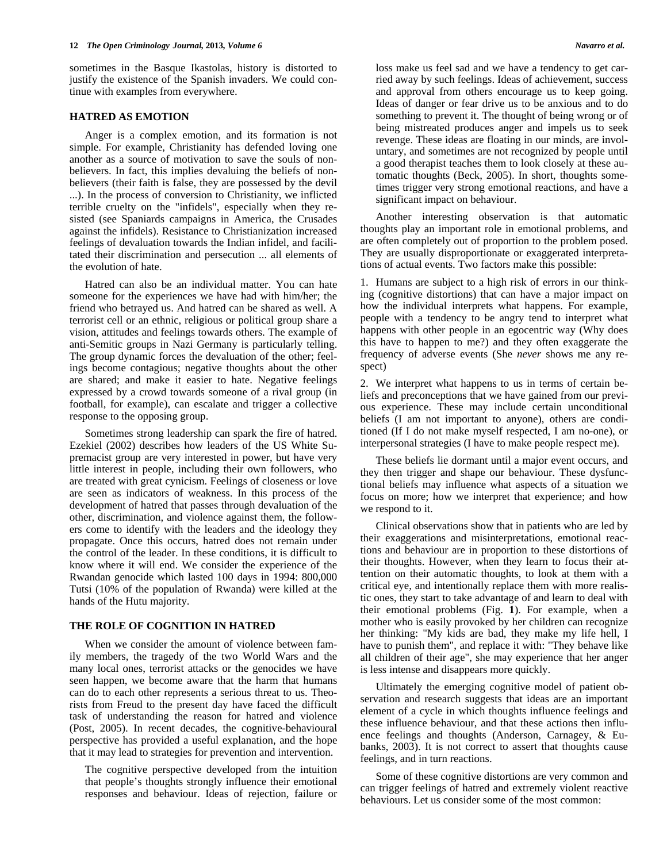sometimes in the Basque Ikastolas, history is distorted to justify the existence of the Spanish invaders. We could continue with examples from everywhere.

### **HATRED AS EMOTION**

 Anger is a complex emotion, and its formation is not simple. For example, Christianity has defended loving one another as a source of motivation to save the souls of nonbelievers. In fact, this implies devaluing the beliefs of nonbelievers (their faith is false, they are possessed by the devil ...). In the process of conversion to Christianity, we inflicted terrible cruelty on the "infidels", especially when they resisted (see Spaniards campaigns in America, the Crusades against the infidels). Resistance to Christianization increased feelings of devaluation towards the Indian infidel, and facilitated their discrimination and persecution ... all elements of the evolution of hate.

 Hatred can also be an individual matter. You can hate someone for the experiences we have had with him/her; the friend who betrayed us. And hatred can be shared as well. A terrorist cell or an ethnic, religious or political group share a vision, attitudes and feelings towards others. The example of anti-Semitic groups in Nazi Germany is particularly telling. The group dynamic forces the devaluation of the other; feelings become contagious; negative thoughts about the other are shared; and make it easier to hate. Negative feelings expressed by a crowd towards someone of a rival group (in football, for example), can escalate and trigger a collective response to the opposing group.

 Sometimes strong leadership can spark the fire of hatred. Ezekiel (2002) describes how leaders of the US White Supremacist group are very interested in power, but have very little interest in people, including their own followers, who are treated with great cynicism. Feelings of closeness or love are seen as indicators of weakness. In this process of the development of hatred that passes through devaluation of the other, discrimination, and violence against them, the followers come to identify with the leaders and the ideology they propagate. Once this occurs, hatred does not remain under the control of the leader. In these conditions, it is difficult to know where it will end. We consider the experience of the Rwandan genocide which lasted 100 days in 1994: 800,000 Tutsi (10% of the population of Rwanda) were killed at the hands of the Hutu majority.

### **THE ROLE OF COGNITION IN HATRED**

 When we consider the amount of violence between family members, the tragedy of the two World Wars and the many local ones, terrorist attacks or the genocides we have seen happen, we become aware that the harm that humans can do to each other represents a serious threat to us. Theorists from Freud to the present day have faced the difficult task of understanding the reason for hatred and violence (Post, 2005). In recent decades, the cognitive-behavioural perspective has provided a useful explanation, and the hope that it may lead to strategies for prevention and intervention.

 The cognitive perspective developed from the intuition that people's thoughts strongly influence their emotional responses and behaviour. Ideas of rejection, failure or

loss make us feel sad and we have a tendency to get carried away by such feelings. Ideas of achievement, success and approval from others encourage us to keep going. Ideas of danger or fear drive us to be anxious and to do something to prevent it. The thought of being wrong or of being mistreated produces anger and impels us to seek revenge. These ideas are floating in our minds, are involuntary, and sometimes are not recognized by people until a good therapist teaches them to look closely at these automatic thoughts (Beck, 2005). In short, thoughts sometimes trigger very strong emotional reactions, and have a significant impact on behaviour.

 Another interesting observation is that automatic thoughts play an important role in emotional problems, and are often completely out of proportion to the problem posed. They are usually disproportionate or exaggerated interpretations of actual events. Two factors make this possible:

1. Humans are subject to a high risk of errors in our thinking (cognitive distortions) that can have a major impact on how the individual interprets what happens. For example, people with a tendency to be angry tend to interpret what happens with other people in an egocentric way (Why does this have to happen to me?) and they often exaggerate the frequency of adverse events (She *never* shows me any respect)

2. We interpret what happens to us in terms of certain beliefs and preconceptions that we have gained from our previous experience. These may include certain unconditional beliefs (I am not important to anyone), others are conditioned (If I do not make myself respected, I am no-one), or interpersonal strategies (I have to make people respect me).

 These beliefs lie dormant until a major event occurs, and they then trigger and shape our behaviour. These dysfunctional beliefs may influence what aspects of a situation we focus on more; how we interpret that experience; and how we respond to it.

 Clinical observations show that in patients who are led by their exaggerations and misinterpretations, emotional reactions and behaviour are in proportion to these distortions of their thoughts. However, when they learn to focus their attention on their automatic thoughts, to look at them with a critical eye, and intentionally replace them with more realistic ones, they start to take advantage of and learn to deal with their emotional problems (Fig. **1**). For example, when a mother who is easily provoked by her children can recognize her thinking: "My kids are bad, they make my life hell, I have to punish them", and replace it with: "They behave like all children of their age", she may experience that her anger is less intense and disappears more quickly.

 Ultimately the emerging cognitive model of patient observation and research suggests that ideas are an important element of a cycle in which thoughts influence feelings and these influence behaviour, and that these actions then influence feelings and thoughts (Anderson, Carnagey, & Eubanks, 2003). It is not correct to assert that thoughts cause feelings, and in turn reactions.

 Some of these cognitive distortions are very common and can trigger feelings of hatred and extremely violent reactive behaviours. Let us consider some of the most common: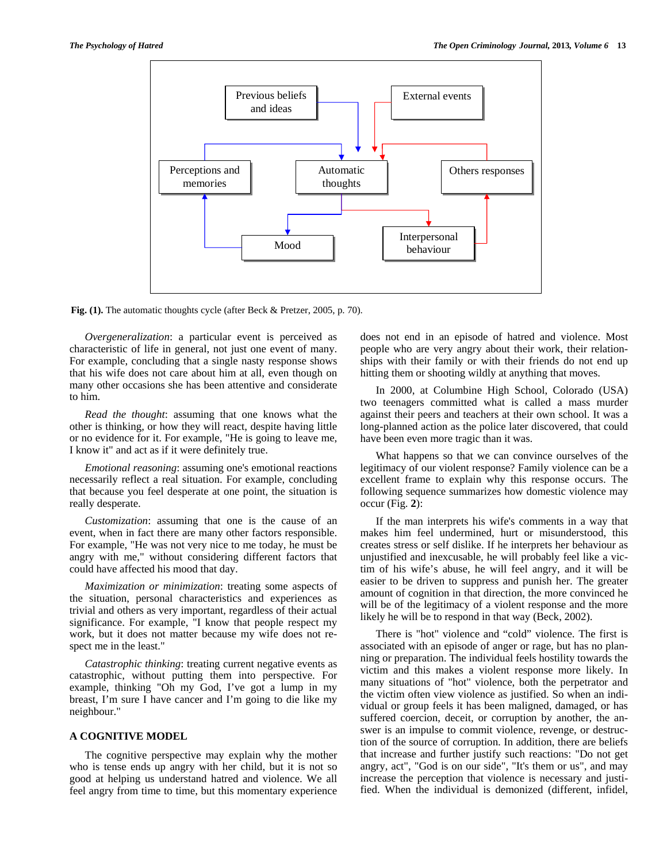

**Fig. (1).** The automatic thoughts cycle (after Beck & Pretzer, 2005, p. 70).

 *Overgeneralization*: a particular event is perceived as characteristic of life in general, not just one event of many. For example, concluding that a single nasty response shows that his wife does not care about him at all, even though on many other occasions she has been attentive and considerate to him.

 *Read the thought*: assuming that one knows what the other is thinking, or how they will react, despite having little or no evidence for it. For example, "He is going to leave me, I know it" and act as if it were definitely true.

 *Emotional reasoning*: assuming one's emotional reactions necessarily reflect a real situation. For example, concluding that because you feel desperate at one point, the situation is really desperate.

 *Customization*: assuming that one is the cause of an event, when in fact there are many other factors responsible. For example, "He was not very nice to me today, he must be angry with me," without considering different factors that could have affected his mood that day.

 *Maximization or minimization*: treating some aspects of the situation, personal characteristics and experiences as trivial and others as very important, regardless of their actual significance. For example, "I know that people respect my work, but it does not matter because my wife does not respect me in the least."

 *Catastrophic thinking*: treating current negative events as catastrophic, without putting them into perspective. For example, thinking "Oh my God, I've got a lump in my breast, I'm sure I have cancer and I'm going to die like my neighbour."

# **A COGNITIVE MODEL**

 The cognitive perspective may explain why the mother who is tense ends up angry with her child, but it is not so good at helping us understand hatred and violence. We all feel angry from time to time, but this momentary experience

does not end in an episode of hatred and violence. Most people who are very angry about their work, their relationships with their family or with their friends do not end up hitting them or shooting wildly at anything that moves.

 In 2000, at Columbine High School, Colorado (USA) two teenagers committed what is called a mass murder against their peers and teachers at their own school. It was a long-planned action as the police later discovered, that could have been even more tragic than it was.

 What happens so that we can convince ourselves of the legitimacy of our violent response? Family violence can be a excellent frame to explain why this response occurs. The following sequence summarizes how domestic violence may occur (Fig. **2**):

 If the man interprets his wife's comments in a way that makes him feel undermined, hurt or misunderstood, this creates stress or self dislike. If he interprets her behaviour as unjustified and inexcusable, he will probably feel like a victim of his wife's abuse, he will feel angry, and it will be easier to be driven to suppress and punish her. The greater amount of cognition in that direction, the more convinced he will be of the legitimacy of a violent response and the more likely he will be to respond in that way (Beck, 2002).

 There is "hot" violence and "cold" violence. The first is associated with an episode of anger or rage, but has no planning or preparation. The individual feels hostility towards the victim and this makes a violent response more likely. In many situations of "hot" violence, both the perpetrator and the victim often view violence as justified. So when an individual or group feels it has been maligned, damaged, or has suffered coercion, deceit, or corruption by another, the answer is an impulse to commit violence, revenge, or destruction of the source of corruption. In addition, there are beliefs that increase and further justify such reactions: "Do not get angry, act", "God is on our side", "It's them or us", and may increase the perception that violence is necessary and justified. When the individual is demonized (different, infidel,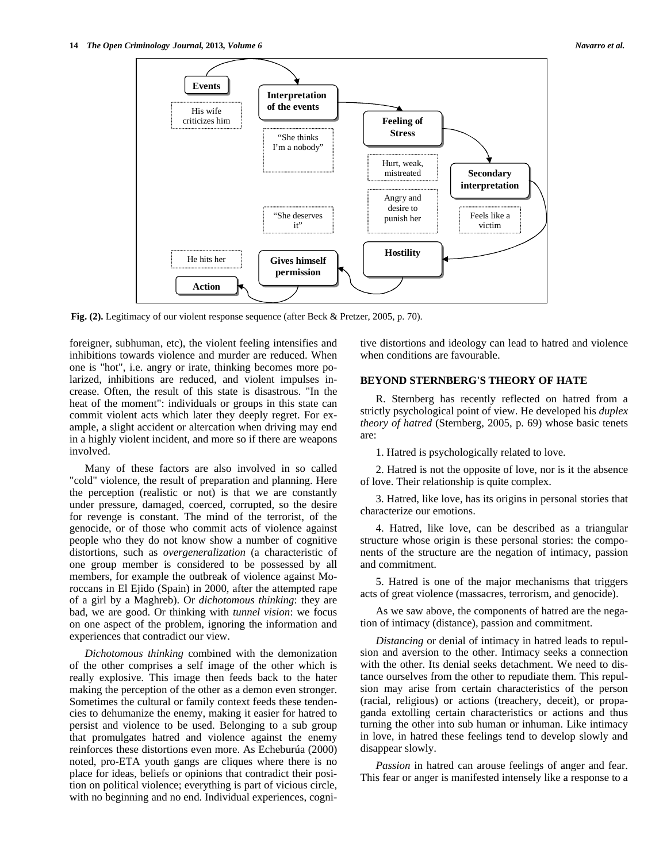

**Fig. (2).** Legitimacy of our violent response sequence (after Beck & Pretzer, 2005, p. 70).

foreigner, subhuman, etc), the violent feeling intensifies and inhibitions towards violence and murder are reduced. When one is "hot", i.e. angry or irate, thinking becomes more polarized, inhibitions are reduced, and violent impulses increase. Often, the result of this state is disastrous. "In the heat of the moment": individuals or groups in this state can commit violent acts which later they deeply regret. For example, a slight accident or altercation when driving may end in a highly violent incident, and more so if there are weapons involved.

 Many of these factors are also involved in so called "cold" violence, the result of preparation and planning. Here the perception (realistic or not) is that we are constantly under pressure, damaged, coerced, corrupted, so the desire for revenge is constant. The mind of the terrorist, of the genocide, or of those who commit acts of violence against people who they do not know show a number of cognitive distortions, such as *overgeneralization* (a characteristic of one group member is considered to be possessed by all members, for example the outbreak of violence against Moroccans in El Ejido (Spain) in 2000, after the attempted rape of a girl by a Maghreb). Or *dichotomous thinking*: they are bad, we are good. Or thinking with *tunnel vision*: we focus on one aspect of the problem, ignoring the information and experiences that contradict our view.

 *Dichotomous thinking* combined with the demonization of the other comprises a self image of the other which is really explosive. This image then feeds back to the hater making the perception of the other as a demon even stronger. Sometimes the cultural or family context feeds these tendencies to dehumanize the enemy, making it easier for hatred to persist and violence to be used. Belonging to a sub group that promulgates hatred and violence against the enemy reinforces these distortions even more. As Echeburúa (2000) noted, pro-ETA youth gangs are cliques where there is no place for ideas, beliefs or opinions that contradict their position on political violence; everything is part of vicious circle, with no beginning and no end. Individual experiences, cognitive distortions and ideology can lead to hatred and violence when conditions are favourable.

# **BEYOND STERNBERG'S THEORY OF HATE**

 R. Sternberg has recently reflected on hatred from a strictly psychological point of view. He developed his *duplex theory of hatred* (Sternberg, 2005, p. 69) whose basic tenets are:

1. Hatred is psychologically related to love.

 2. Hatred is not the opposite of love, nor is it the absence of love. Their relationship is quite complex.

 3. Hatred, like love, has its origins in personal stories that characterize our emotions.

 4. Hatred, like love, can be described as a triangular structure whose origin is these personal stories: the components of the structure are the negation of intimacy, passion and commitment.

 5. Hatred is one of the major mechanisms that triggers acts of great violence (massacres, terrorism, and genocide).

 As we saw above, the components of hatred are the negation of intimacy (distance), passion and commitment.

 *Distancing* or denial of intimacy in hatred leads to repulsion and aversion to the other. Intimacy seeks a connection with the other. Its denial seeks detachment. We need to distance ourselves from the other to repudiate them. This repulsion may arise from certain characteristics of the person (racial, religious) or actions (treachery, deceit), or propaganda extolling certain characteristics or actions and thus turning the other into sub human or inhuman. Like intimacy in love, in hatred these feelings tend to develop slowly and disappear slowly.

 *Passion* in hatred can arouse feelings of anger and fear. This fear or anger is manifested intensely like a response to a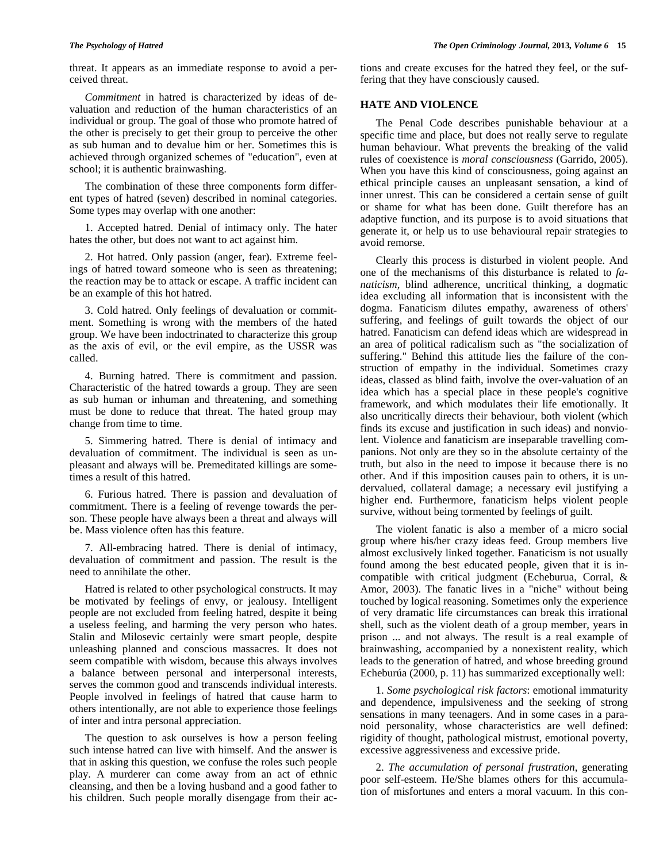threat. It appears as an immediate response to avoid a perceived threat.

 *Commitment* in hatred is characterized by ideas of devaluation and reduction of the human characteristics of an individual or group. The goal of those who promote hatred of the other is precisely to get their group to perceive the other as sub human and to devalue him or her. Sometimes this is achieved through organized schemes of "education", even at school; it is authentic brainwashing.

 The combination of these three components form different types of hatred (seven) described in nominal categories. Some types may overlap with one another:

 1. Accepted hatred. Denial of intimacy only. The hater hates the other, but does not want to act against him.

 2. Hot hatred. Only passion (anger, fear). Extreme feelings of hatred toward someone who is seen as threatening; the reaction may be to attack or escape. A traffic incident can be an example of this hot hatred.

 3. Cold hatred. Only feelings of devaluation or commitment. Something is wrong with the members of the hated group. We have been indoctrinated to characterize this group as the axis of evil, or the evil empire, as the USSR was called.

 4. Burning hatred. There is commitment and passion. Characteristic of the hatred towards a group. They are seen as sub human or inhuman and threatening, and something must be done to reduce that threat. The hated group may change from time to time.

 5. Simmering hatred. There is denial of intimacy and devaluation of commitment. The individual is seen as unpleasant and always will be. Premeditated killings are sometimes a result of this hatred.

 6. Furious hatred. There is passion and devaluation of commitment. There is a feeling of revenge towards the person. These people have always been a threat and always will be. Mass violence often has this feature.

 7. All-embracing hatred. There is denial of intimacy, devaluation of commitment and passion. The result is the need to annihilate the other.

 Hatred is related to other psychological constructs. It may be motivated by feelings of envy, or jealousy. Intelligent people are not excluded from feeling hatred, despite it being a useless feeling, and harming the very person who hates. Stalin and Milosevic certainly were smart people, despite unleashing planned and conscious massacres. It does not seem compatible with wisdom, because this always involves a balance between personal and interpersonal interests, serves the common good and transcends individual interests. People involved in feelings of hatred that cause harm to others intentionally, are not able to experience those feelings of inter and intra personal appreciation.

 The question to ask ourselves is how a person feeling such intense hatred can live with himself. And the answer is that in asking this question, we confuse the roles such people play. A murderer can come away from an act of ethnic cleansing, and then be a loving husband and a good father to his children. Such people morally disengage from their actions and create excuses for the hatred they feel, or the suffering that they have consciously caused.

# **HATE AND VIOLENCE**

 The Penal Code describes punishable behaviour at a specific time and place, but does not really serve to regulate human behaviour. What prevents the breaking of the valid rules of coexistence is *moral consciousness* (Garrido, 2005). When you have this kind of consciousness, going against an ethical principle causes an unpleasant sensation, a kind of inner unrest. This can be considered a certain sense of guilt or shame for what has been done. Guilt therefore has an adaptive function, and its purpose is to avoid situations that generate it, or help us to use behavioural repair strategies to avoid remorse.

 Clearly this process is disturbed in violent people. And one of the mechanisms of this disturbance is related to *fanaticism*, blind adherence, uncritical thinking, a dogmatic idea excluding all information that is inconsistent with the dogma. Fanaticism dilutes empathy, awareness of others' suffering, and feelings of guilt towards the object of our hatred. Fanaticism can defend ideas which are widespread in an area of political radicalism such as "the socialization of suffering." Behind this attitude lies the failure of the construction of empathy in the individual. Sometimes crazy ideas, classed as blind faith, involve the over-valuation of an idea which has a special place in these people's cognitive framework, and which modulates their life emotionally. It also uncritically directs their behaviour, both violent (which finds its excuse and justification in such ideas) and nonviolent. Violence and fanaticism are inseparable travelling companions. Not only are they so in the absolute certainty of the truth, but also in the need to impose it because there is no other. And if this imposition causes pain to others, it is undervalued, collateral damage; a necessary evil justifying a higher end. Furthermore, fanaticism helps violent people survive, without being tormented by feelings of guilt.

 The violent fanatic is also a member of a micro social group where his/her crazy ideas feed. Group members live almost exclusively linked together. Fanaticism is not usually found among the best educated people, given that it is incompatible with critical judgment (Echeburua, Corral, & Amor, 2003). The fanatic lives in a "niche" without being touched by logical reasoning. Sometimes only the experience of very dramatic life circumstances can break this irrational shell, such as the violent death of a group member, years in prison ... and not always. The result is a real example of brainwashing, accompanied by a nonexistent reality, which leads to the generation of hatred, and whose breeding ground Echeburúa (2000, p. 11) has summarized exceptionally well:

 1. *Some psychological risk factors*: emotional immaturity and dependence, impulsiveness and the seeking of strong sensations in many teenagers. And in some cases in a paranoid personality, whose characteristics are well defined: rigidity of thought, pathological mistrust, emotional poverty, excessive aggressiveness and excessive pride.

 2. *The accumulation of personal frustration*, generating poor self-esteem. He/She blames others for this accumulation of misfortunes and enters a moral vacuum. In this con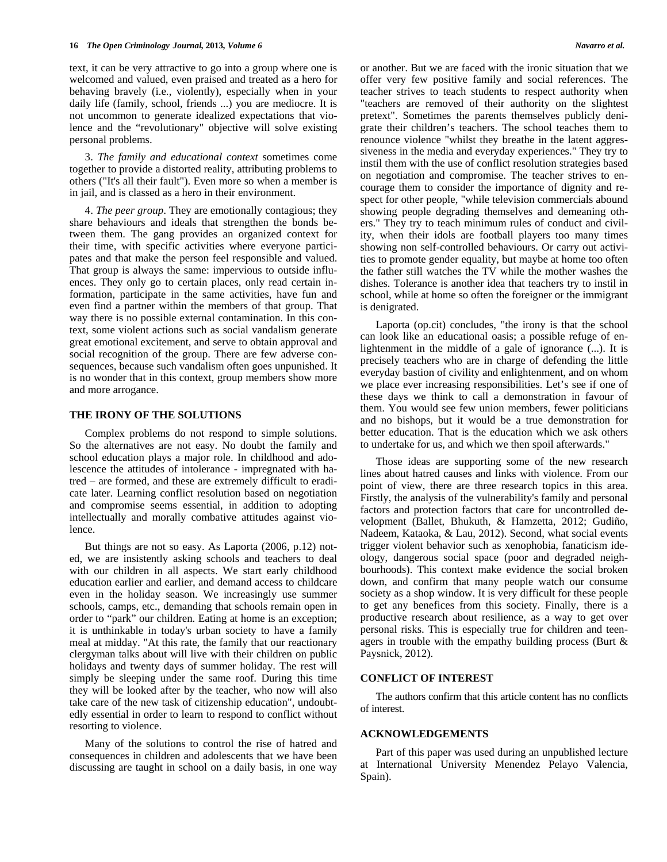text, it can be very attractive to go into a group where one is welcomed and valued, even praised and treated as a hero for behaving bravely (i.e., violently), especially when in your daily life (family, school, friends ...) you are mediocre. It is not uncommon to generate idealized expectations that violence and the "revolutionary" objective will solve existing personal problems.

 3. *The family and educational context* sometimes come together to provide a distorted reality, attributing problems to others ("It's all their fault"). Even more so when a member is in jail, and is classed as a hero in their environment.

 4. *The peer group*. They are emotionally contagious; they share behaviours and ideals that strengthen the bonds between them. The gang provides an organized context for their time, with specific activities where everyone participates and that make the person feel responsible and valued. That group is always the same: impervious to outside influences. They only go to certain places, only read certain information, participate in the same activities, have fun and even find a partner within the members of that group. That way there is no possible external contamination. In this context, some violent actions such as social vandalism generate great emotional excitement, and serve to obtain approval and social recognition of the group. There are few adverse consequences, because such vandalism often goes unpunished. It is no wonder that in this context, group members show more and more arrogance.

# **THE IRONY OF THE SOLUTIONS**

 Complex problems do not respond to simple solutions. So the alternatives are not easy. No doubt the family and school education plays a major role. In childhood and adolescence the attitudes of intolerance - impregnated with hatred – are formed, and these are extremely difficult to eradicate later. Learning conflict resolution based on negotiation and compromise seems essential, in addition to adopting intellectually and morally combative attitudes against violence.

 But things are not so easy. As Laporta (2006, p.12) noted, we are insistently asking schools and teachers to deal with our children in all aspects. We start early childhood education earlier and earlier, and demand access to childcare even in the holiday season. We increasingly use summer schools, camps, etc., demanding that schools remain open in order to "park" our children. Eating at home is an exception; it is unthinkable in today's urban society to have a family meal at midday. "At this rate, the family that our reactionary clergyman talks about will live with their children on public holidays and twenty days of summer holiday. The rest will simply be sleeping under the same roof. During this time they will be looked after by the teacher, who now will also take care of the new task of citizenship education", undoubtedly essential in order to learn to respond to conflict without resorting to violence.

 Many of the solutions to control the rise of hatred and consequences in children and adolescents that we have been discussing are taught in school on a daily basis, in one way or another. But we are faced with the ironic situation that we offer very few positive family and social references. The teacher strives to teach students to respect authority when "teachers are removed of their authority on the slightest pretext". Sometimes the parents themselves publicly denigrate their children's teachers. The school teaches them to renounce violence "whilst they breathe in the latent aggressiveness in the media and everyday experiences." They try to instil them with the use of conflict resolution strategies based on negotiation and compromise. The teacher strives to encourage them to consider the importance of dignity and respect for other people, "while television commercials abound showing people degrading themselves and demeaning others." They try to teach minimum rules of conduct and civility, when their idols are football players too many times showing non self-controlled behaviours. Or carry out activities to promote gender equality, but maybe at home too often the father still watches the TV while the mother washes the dishes. Tolerance is another idea that teachers try to instil in school, while at home so often the foreigner or the immigrant is denigrated.

 Laporta (op.cit) concludes, "the irony is that the school can look like an educational oasis; a possible refuge of enlightenment in the middle of a gale of ignorance (...). It is precisely teachers who are in charge of defending the little everyday bastion of civility and enlightenment, and on whom we place ever increasing responsibilities. Let's see if one of these days we think to call a demonstration in favour of them. You would see few union members, fewer politicians and no bishops, but it would be a true demonstration for better education. That is the education which we ask others to undertake for us, and which we then spoil afterwards."

 Those ideas are supporting some of the new research lines about hatred causes and links with violence. From our point of view, there are three research topics in this area. Firstly, the analysis of the vulnerability's family and personal factors and protection factors that care for uncontrolled development (Ballet, Bhukuth, & Hamzetta, 2012; Gudiño, Nadeem, Kataoka, & Lau, 2012). Second, what social events trigger violent behavior such as xenophobia, fanaticism ideology, dangerous social space (poor and degraded neighbourhoods). This context make evidence the social broken down, and confirm that many people watch our consume society as a shop window. It is very difficult for these people to get any benefices from this society. Finally, there is a productive research about resilience, as a way to get over personal risks. This is especially true for children and teenagers in trouble with the empathy building process (Burt & Paysnick, 2012).

### **CONFLICT OF INTEREST**

 The authors confirm that this article content has no conflicts of interest.

### **ACKNOWLEDGEMENTS**

 Part of this paper was used during an unpublished lecture at International University Menendez Pelayo Valencia, Spain).